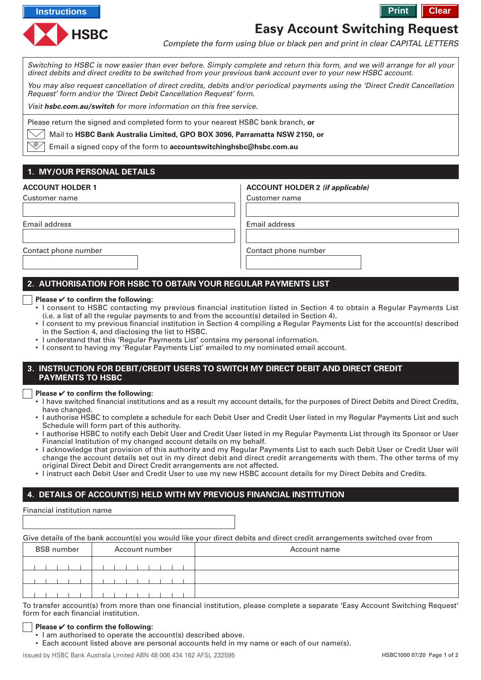



# **Easy Account Switching Request**

Complete the form using blue or black pen and print in clear CAPITAL LETTERS

Switching to HSBC is now easier than ever before. Simply complete and return this form, and we will arrange for all your direct debits and direct credits to be switched from your previous bank account over to your new HSBC account.

You may also request cancellation of direct credits, debits and/or periodical payments using the 'Direct Credit Cancellation Request' form and/or the 'Direct Debit Cancellation Request' form.

Visit **hsbc.com.au/switch** for more information on this free service.

Please return the signed and completed form to your nearest HSBC bank branch, **or**

Mail to **HSBC Bank Australia Limited, GPO BOX 3096, Parramatta NSW 2150, or**

Email a signed copy of the form to **accountswitchinghsbc@hsbc.com.au** @

# **1. MY/OUR PERSONAL DETAILS**

| <b>ACCOUNT HOLDER 1</b> | <b>ACCOUNT HOLDER 2 (if applicable)</b> |
|-------------------------|-----------------------------------------|
| Customer name           | Customer name                           |
|                         |                                         |
| Email address           | Email address                           |
|                         |                                         |
| Contact phone number    | Contact phone number                    |
|                         |                                         |

# **2. AUTHORISATION FOR HSBC TO OBTAIN YOUR REGULAR PAYMENTS LIST**

#### **Please** ✔ **to confirm the following:**

- I consent to HSBC contacting my previous financial institution listed in Section 4 to obtain a Regular Payments List (i.e. a list of all the regular payments to and from the account(s) detailed in Section 4).
- I consent to my previous financial institution in Section 4 compiling a Regular Payments List for the account(s) described in the Section 4, and disclosing the list to HSBC.
- I understand that this 'Regular Payments List' contains my personal information.
- I consent to having my 'Regular Payments List' emailed to my nominated email account.

#### **3. INSTRUCTION FOR DEBIT/CREDIT USERS TO SWITCH MY DIRECT DEBIT AND DIRECT CREDIT PAYMENTS TO HSBC**

**Please** ✔ **to confirm the following:**

- I have switched financial institutions and as a result my account details, for the purposes of Direct Debits and Direct Credits, have changed.
- I authorise HSBC to complete a schedule for each Debit User and Credit User listed in my Regular Payments List and such Schedule will form part of this authority.
- I authorise HSBC to notify each Debit User and Credit User listed in my Regular Payments List through its Sponsor or User Financial Institution of my changed account details on my behalf.
- I acknowledge that provision of this authority and my Regular Payments List to each such Debit User or Credit User will change the account details set out in my direct debit and direct credit arrangements with them. The other terms of my original Direct Debit and Direct Credit arrangements are not affected.
- I instruct each Debit User and Credit User to use my new HSBC account details for my Direct Debits and Credits.

## **4. DETAILS OF ACCOUNT(S) HELD WITH MY PREVIOUS FINANCIAL INSTITUTION**

Financial institution name

Give details of the bank account(s) you would like your direct debits and direct credit arrangements switched over from

| <b>BSB</b> number | Account number | Account name |
|-------------------|----------------|--------------|
|                   |                |              |
|                   |                |              |
|                   |                |              |

To transfer account(s) from more than one financial institution, please complete a separate 'Easy Account Switching Request' form for each financial institution.

#### **Please** ✔ **to confirm the following:**

- I am authorised to operate the account(s) described above.
- Each account listed above are personal accounts held in my name or each of our name(s).